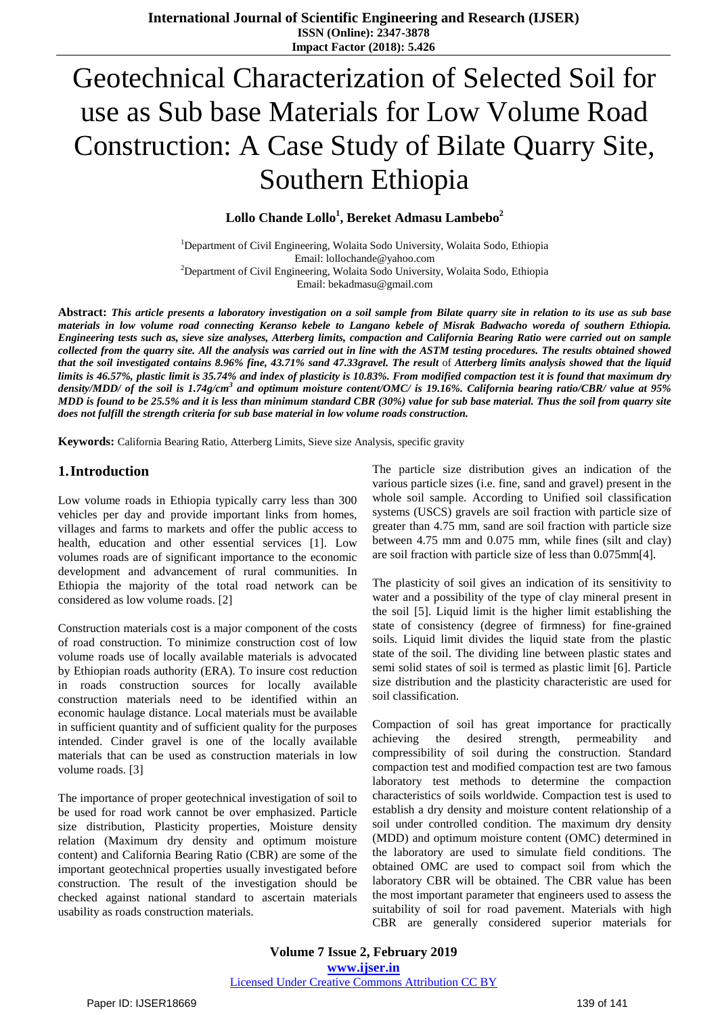# Geotechnical Characterization of Selected Soil for use as Sub base Materials for Low Volume Road Construction: A Case Study of Bilate Quarry Site, Southern Ethiopia

**Lollo Chande Lollo<sup>1</sup> , Bereket Admasu Lambebo<sup>2</sup>**

<sup>1</sup>Department of Civil Engineering, Wolaita Sodo University, Wolaita Sodo, Ethiopia Email: lollochande@yahoo.com <sup>2</sup>Department of Civil Engineering, Wolaita Sodo University, Wolaita Sodo, Ethiopia Email: bekadmasu@gmail.com

Abstract: This article presents a laboratory investigation on a soil sample from Bilate quarry site in relation to its use as sub base materials in low volume road connecting Keranso kebele to Langano kebele of Misrak Badwacho woreda of southern Ethiopia. Engineering tests such as, sieve size analyses, Atterberg limits, compaction and California Bearing Ratio were carried out on sample collected from the quarry site. All the analysis was carried out in line with the ASTM testing procedures. The results obtained showed that the soil investigated contains 8.96% fine, 43.71% sand 47.33gravel. The result of Atterberg limits analysis showed that the liquid limits is 46.57%, plastic limit is 35.74% and index of plasticity is 10.83%. From modified compaction test it is found that maximum dry density/MDD/ of the soil is 1.74g/cm<sup>3</sup> and optimum moisture content/OMC/ is 19.16%. California bearing ratio/CBR/ value at 95% MDD is found to be 25.5% and it is less than minimum standard CBR (30%) value for sub base material. Thus the soil from quarry site *does not fulfill the strength criteria for sub base material in low volume roads construction.*

**Keywords:** California Bearing Ratio, Atterberg Limits, Sieve size Analysis, specific gravity

#### **1.Introduction**

Low volume roads in Ethiopia typically carry less than 300 vehicles per day and provide important links from homes, villages and farms to markets and offer the public access to health, education and other essential services [1]. Low volumes roads are of significant importance to the economic development and advancement of rural communities. In Ethiopia the majority of the total road network can be considered as low volume roads. [2]

Construction materials cost is a major component of the costs of road construction. To minimize construction cost of low volume roads use of locally available materials is advocated by Ethiopian roads authority (ERA). To insure cost reduction in roads construction sources for locally available construction materials need to be identified within an economic haulage distance. Local materials must be available in sufficient quantity and of sufficient quality for the purposes intended. Cinder gravel is one of the locally available materials that can be used as construction materials in low volume roads. [3]

The importance of proper geotechnical investigation of soil to be used for road work cannot be over emphasized. Particle size distribution, Plasticity properties, Moisture density relation (Maximum dry density and optimum moisture content) and California Bearing Ratio (CBR) are some of the important geotechnical properties usually investigated before construction. The result of the investigation should be checked against national standard to ascertain materials usability as roads construction materials.

The particle size distribution gives an indication of the various particle sizes (i.e. fine, sand and gravel) present in the whole soil sample. According to Unified soil classification systems (USCS) gravels are soil fraction with particle size of greater than 4.75 mm, sand are soil fraction with particle size between 4.75 mm and 0.075 mm, while fines (silt and clay) are soil fraction with particle size of less than 0.075mm[4].

The plasticity of soil gives an indication of its sensitivity to water and a possibility of the type of clay mineral present in the soil [5]. Liquid limit is the higher limit establishing the state of consistency (degree of firmness) for fine-grained soils. Liquid limit divides the liquid state from the plastic state of the soil. The dividing line between plastic states and semi solid states of soil is termed as plastic limit [6]. Particle size distribution and the plasticity characteristic are used for soil classification.

Compaction of soil has great importance for practically achieving the desired strength, permeability and compressibility of soil during the construction. Standard compaction test and modified compaction test are two famous laboratory test methods to determine the compaction characteristics of soils worldwide. Compaction test is used to establish a dry density and moisture content relationship of a soil under controlled condition. The maximum dry density (MDD) and optimum moisture content (OMC) determined in the laboratory are used to simulate field conditions. The obtained OMC are used to compact soil from which the laboratory CBR will be obtained. The CBR value has been the most important parameter that engineers used to assess the suitability of soil for road pavement. Materials with high CBR are generally considered superior materials for

**Volume 7 Issue 2, February 2019 www.ijser.in** Licensed Under Creative Commons Attribution CC BY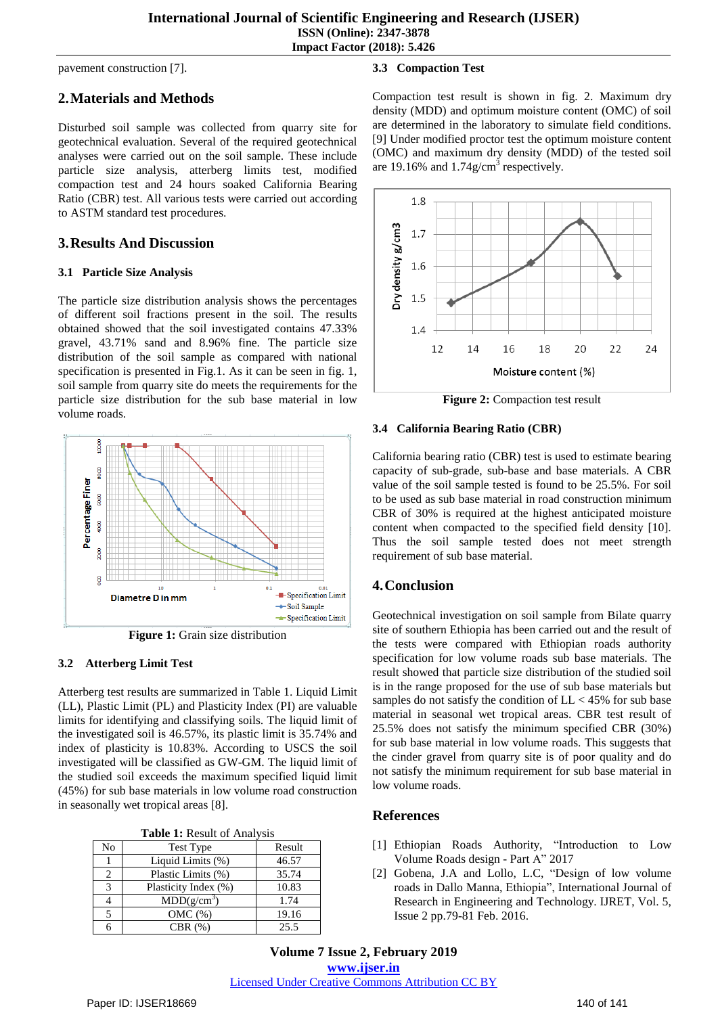pavement construction [7].

# **2.Materials and Methods**

Disturbed soil sample was collected from quarry site for geotechnical evaluation. Several of the required geotechnical analyses were carried out on the soil sample. These include particle size analysis, atterberg limits test, modified compaction test and 24 hours soaked California Bearing Ratio (CBR) test. All various tests were carried out according to ASTM standard test procedures.

### **3.Results And Discussion**

#### **3.1 Particle Size Analysis**

The particle size distribution analysis shows the percentages of different soil fractions present in the soil. The results obtained showed that the soil investigated contains 47.33% gravel, 43.71% sand and 8.96% fine. The particle size distribution of the soil sample as compared with national specification is presented in Fig.1. As it can be seen in fig. 1, soil sample from quarry site do meets the requirements for the particle size distribution for the sub base material in low volume roads.



**Figure 1:** Grain size distribution

#### **3.2 Atterberg Limit Test**

Atterberg test results are summarized in Table 1. Liquid Limit (LL), Plastic Limit (PL) and Plasticity Index (PI) are valuable limits for identifying and classifying soils. The liquid limit of the investigated soil is 46.57%, its plastic limit is 35.74% and index of plasticity is 10.83%. According to USCS the soil investigated will be classified as GW-GM. The liquid limit of the studied soil exceeds the maximum specified liquid limit (45%) for sub base materials in low volume road construction in seasonally wet tropical areas [8].

**Table 1:** Result of Analysis

| No | <b>Test Type</b>        | Result |
|----|-------------------------|--------|
|    | Liquid Limits (%)       | 46.57  |
|    | Plastic Limits (%)      | 35.74  |
| 3  | Plasticity Index (%)    | 10.83  |
|    | MDD(g/cm <sup>3</sup> ) | 1.74   |
|    | OMC(%)                  | 19.16  |
|    | CBR(%)                  | 25.5   |

#### **3.3 Compaction Test**

Compaction test result is shown in fig. 2. Maximum dry density (MDD) and optimum moisture content (OMC) of soil are determined in the laboratory to simulate field conditions. [9] Under modified proctor test the optimum moisture content (OMC) and maximum dry density (MDD) of the tested soil are 19.16% and  $1.74$ g/cm<sup>3</sup> respectively.



**Figure 2:** Compaction test result

#### **3.4 California Bearing Ratio (CBR)**

California bearing ratio (CBR) test is used to estimate bearing capacity of sub-grade, sub-base and base materials. A CBR value of the soil sample tested is found to be 25.5%. For soil to be used as sub base material in road construction minimum CBR of 30% is required at the highest anticipated moisture content when compacted to the specified field density [10]. Thus the soil sample tested does not meet strength requirement of sub base material.

# **4.Conclusion**

Geotechnical investigation on soil sample from Bilate quarry site of southern Ethiopia has been carried out and the result of the tests were compared with Ethiopian roads authority specification for low volume roads sub base materials. The result showed that particle size distribution of the studied soil is in the range proposed for the use of sub base materials but samples do not satisfy the condition of  $LL < 45\%$  for sub base material in seasonal wet tropical areas. CBR test result of 25.5% does not satisfy the minimum specified CBR (30%) for sub base material in low volume roads. This suggests that the cinder gravel from quarry site is of poor quality and do not satisfy the minimum requirement for sub base material in low volume roads.

# **References**

- [1] Ethiopian Roads Authority, "Introduction to Low Volume Roads design - Part A" 2017
- [2] Gobena, J.A and Lollo, L.C, "Design of low volume roads in Dallo Manna, Ethiopia", International Journal of Research in Engineering and Technology. IJRET, Vol. 5, Issue 2 pp.79-81 Feb. 2016.

**Volume 7 Issue 2, February 2019 www.ijser.in** Licensed Under Creative Commons Attribution CC BY